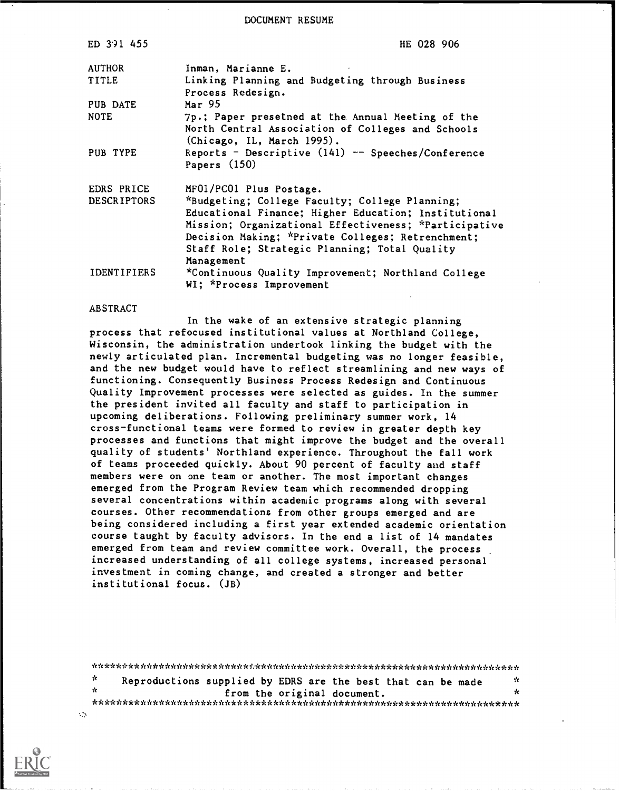DOCUMENT RESUME

| ED 3.91 455        | HE 028 906                                                                      |
|--------------------|---------------------------------------------------------------------------------|
| <b>AUTHOR</b>      | Inman, Marianne E.                                                              |
| <b>TITLE</b>       | Linking Planning and Budgeting through Business<br>Process Redesign.            |
| PUB DATE           | Mar 95                                                                          |
| <b>NOTE</b>        | 7p.; Paper presetned at the Annual Meeting of the                               |
|                    | North Central Association of Colleges and Schools<br>(Chicago, IL, March 1995). |
| PUB TYPE           | Reports - Descriptive $(141)$ -- Speeches/Conference<br>Papers $(150)$          |
| EDRS PRICE         | MF01/PC01 Plus Postage.                                                         |
| <b>DESCRIPTORS</b> | *Budgeting; College Faculty; College Planning;                                  |
|                    | Educational Finance; Higher Education; Institutional                            |
|                    | Mission; Organizational Effectiveness; *Participative                           |
|                    | Decision Making; *Private Colleges; Retrenchment;                               |
|                    | Staff Role; Strategic Planning; Total Quality                                   |
|                    | Management                                                                      |
| <b>IDENTIFIERS</b> | *Continuous Quality Improvement; Northland College<br>WI; *Process Improvement  |

## ABSTRACT

In the wake of an extensive strategic planning process that refocused institutional values at Northland College, Wisconsin, the administration undertook linking the budget with the newly articulated plan. Incremental budgeting was no longer feasible, and the new budget would have to reflect streamlining and new ways of functioning. Consequently Business Process Redesign and Continuous Quality Improvement processes were selected as guides. In the summer the president invited all faculty and staff to participation in upcoming deliberations. Following preliminary summer work, 14 cross-functional teams were formed to review in greater depth key processes and functions that might improve the budget and the overall quality of students' Northland experience. Throughout the fall work of teams proceeded quickly. About 90 percent of faculty and staff members were on one team or another. The most important changes emerged from the Program Review team which recommended dropping several concentrations within academic programs along with several courses. Other recommendations from other groups emerged and are being considered including a first year extended academic orientation course taught by faculty advisors. In the end a list of 14 mandates emerged from team and review committee work. Overall, the process increased understanding of all college systems, increased personal investment in coming change, and created a stronger and better institutional focus. (JB)

 $\mathbf{r}$ Reproductions supplied by EDRS are the best that can be made  $*$ from the original document. \*\*\*\*\*\*\*\*\*\*\*\*\*\*\*\*\*\*\*\*\*\*\*\*\*\*\*\*\*\*\*\*\*\*\*\*\*\*\*\*\*\*\*\*\*\*\*\*\*\*\*\*\*\*\*\*\*\*\*\*\*\*\*\*\*\*\*\*\*\*\*



 $\mathcal{L}$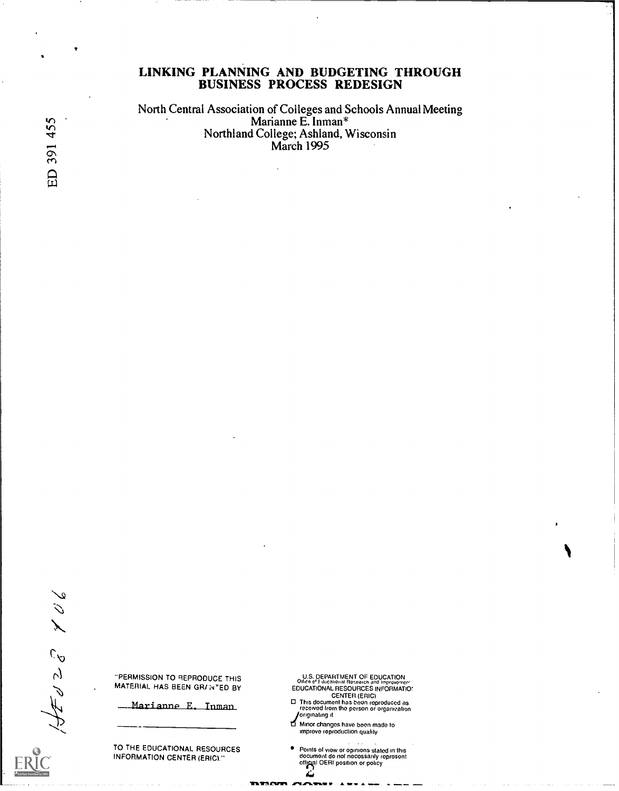## LINKING PLANNING AND BUDGETING THROUGH BUSINESS PROCESS REDESIGN

North Central Association of Colleges and Schools Annual Meeting سمات المسلمة المسلمة المسلمة المسلمة المسلمة المسلمة المسلمة المسلمة المسلمة المسلمة المسلمة المسلمة المسلمة ا<br>تسلمات المسلمة المسلمة المسلمة المسلمة المسلمة المسلمة المسلمة المسلمة المسلمة المسلمة المسلمة المسلمة المسلمة Northland College; Ashland, Wisconsin<br>March 1995

 $\frac{1}{2}$  $1/45028$ 

"PERMISSION TO REPRODUCE THIS MATERIAL HAS BEEN GRANTED BY

Marianne E. Inman

TO THE EDUCATIONAL RESOURCES INFORMATION CENTER (ERIC)."

- U.S. DEPARTMENT OF EDUCATION<br>Office of t ducational Research and Improvement<br>EDUCATIONAL RESOURCES INFORMATIO:<br>CENTER (ERIC)<br>Office comment has boon reproduced as<br>received from the person or organization<br>form changes have originating it
- Minor changes have been mado to improvo reproduction quality
- Points of view or opinions stated in this<br>document do not necessarily represent<br>official OERI position or policy

 $\mathbf{L}$ 

Invrncarri.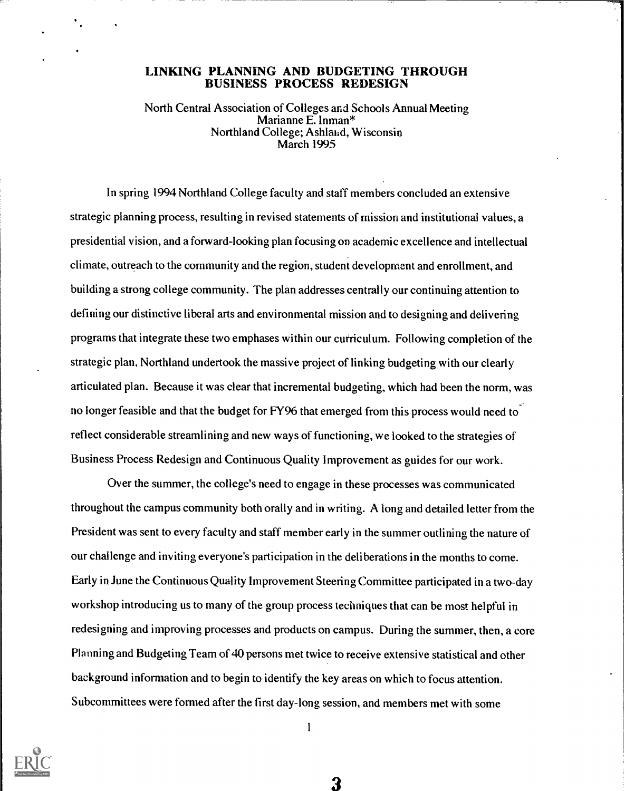## LINKING PLANNING AND BUDGETING THROUGH BUSINESS PROCESS REDESIGN

North Central Association of Colleges and Schools Annual Meeting Marianne E. Inman\* Northland College; Ashland, Wisconsin March 1995

In spring 1994 Northland College faculty and staff members concluded an extensive strategic planning process, resulting in revised statements of mission and institutional values, a presidential vision, and a forward-looking plan focusing on academic excellence and intellectual climate, outreach to the community and the region, student development and enrollment, and building a strong college community. The plan addresses centrally our continuing attention to defining our distinctive liberal arts and environmental mission and to designing and delivering programs that integrate these two emphases within our curriculum. Following completion of the strategic plan, Northland undertook the massive project of linking budgeting with our clearly articulated plan. Because it was clear that incremental budgeting, which had been the norm, was no longer feasible and that the budget for FY96 that emerged from this process would need to reflect considerable streamlining and new ways of functioning, we looked to the strategies of Business Process Redesign and Continuous Quality Improvement as guides for our work.

Over the summer, the college's need to engage in these processes was communicated throughout the campus community both orally and in writing. A long and detailed letter from the President was sent to every faculty and staff member early in the summer outlining the nature of our challenge and inviting everyone's participation in the deliberations in the months to come. Early in June the Continuous Quality Improvement Steering Committee participated ina two-day workshop introducing us to many of the group process techniques that can be most helpful in redesigning and improving processes and products on campus. During the summer, then, a core Planning and Budgeting Team of 40 persons met twice to receive extensive statistical and other background information and to begin to identify the key areas on which to focus attention. Subcommittees were formed after the first day-long session, and members met with some

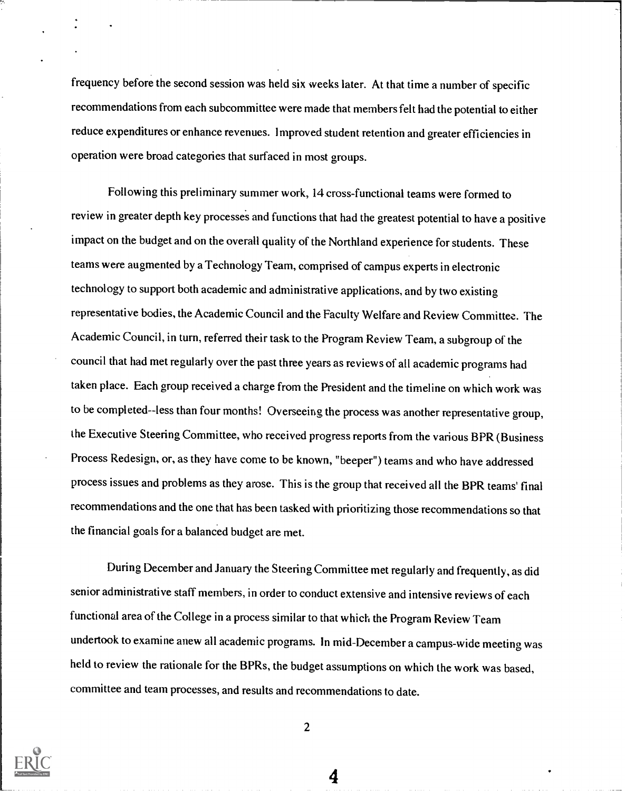frequency before the second session was held six weeks later. At that time a number of specific recommendations from each subcommittee were made that members felt had the potential to either reduce expenditures or enhance revenues. Improved student retention and greater efficiencies in operation were broad categories that surfaced in most groups.

Following this preliminary summer work, 14 cross-functional teams were formed to review in greater depth key processes and functions that had the greatest potential to have a positive impact on the budget and on the overall quality of the Northland experience for students. These teams were augmented by a Technology Team, comprised of campus experts in electronic technology to support both academic and administrative applications, and by two existing representative bodies, the Academic Council and the Faculty Welfare and Review Committee. The Academic Council, in turn, referred their task to the Program Review Team, a subgroup of the council that had met regularly over the past three years as reviews of all academic programs had taken place. Each group received a charge from the President and the timeline on which work was to be completed--iess than four months! Overseeing the process was another representative group, the Executive Steering Committee, who received progress reports from the various BPR (Business Process Redesign, or, as they have come to be known, "beeper") teams and who have addressed process issues and problems as they arose. This is the group that received all the BPR teams' final recommendations and the one that has been tasked with prioritizing those recommendations so that the financial goals for a balanced budget are met.

During December and January the Steering Committee met regularly and frequently, as did senior administrative staff members, in order to conduct extensive and intensive reviews of each functional area of the College in a process similar to that which the Program Review Team undertook to examine anew all academic programs. In mid-December a campus-wide meeting was held to review the rationale for the BPRs, the budget assumptions on which the work was based, committee and team processes, and results and recommendations to date.



2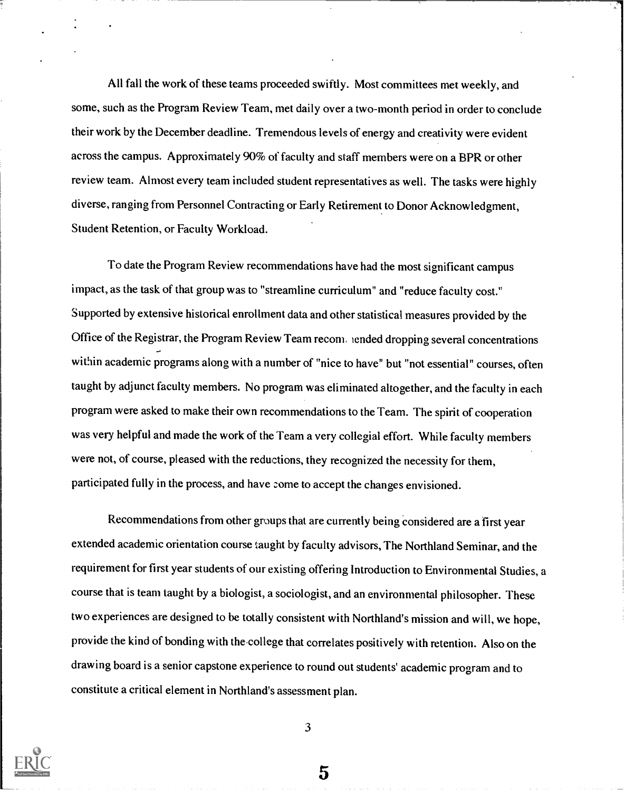All fall the work of these teams proceeded swiftly. Most committees met weekly, and some, such as the Program Review Team, met daily over a two-month period in order to conclude their work by the December deadline. Tremendous levels of energy and creativity were evident across the campus. Approximately 90% of faculty and staff members were on a BPR or other review team. Almost every team included student representatives as well. The tasks were highly diverse, ranging from Personnel Contracting or Early Retirement to Donor Acknowledgment, Student Retention, or Faculty Workload.

To date the Program Review recommendations have had the most significant campus impact, as the task of that group was to "streamline curriculum" and "reduce faculty cost." Supported by extensive historical enrollment data and other statistical measures provided by the Office of the Registrar, the Program Review Team reconi, tended dropping several concentrations within academic programs along with a number of "nice to have" but "not essential" courses, often taught by adjunct faculty members. No program was eliminated altogether, and the faculty in each program were asked to make their own recommendations to the Team. The spirit of cooperation was very helpful and made the work of the Team a very collegial effort. While faculty members were not, of course, pleased with the reductions, they recognized the necessity for them, participated fully in the process, and have come to accept the changes envisioned.

Recommendations from other groups that are currently being considered are a first year extended academic orientation course taught by faculty advisors, The Northland Seminar, and the requirement for first year students of our existing offering Introduction to Environmental Studies, a course that is team taught by a biologist, a sociologist, and an environmental philosopher. These two experiences are designed to be totally consistent with Northland's mission and will, we hope, provide the kind of bonding with the college that correlates positively with retention. Also on the drawing board is a senior capstone experience to round out students' academic program and to constitute a critical element in Northland's assessment plan.



3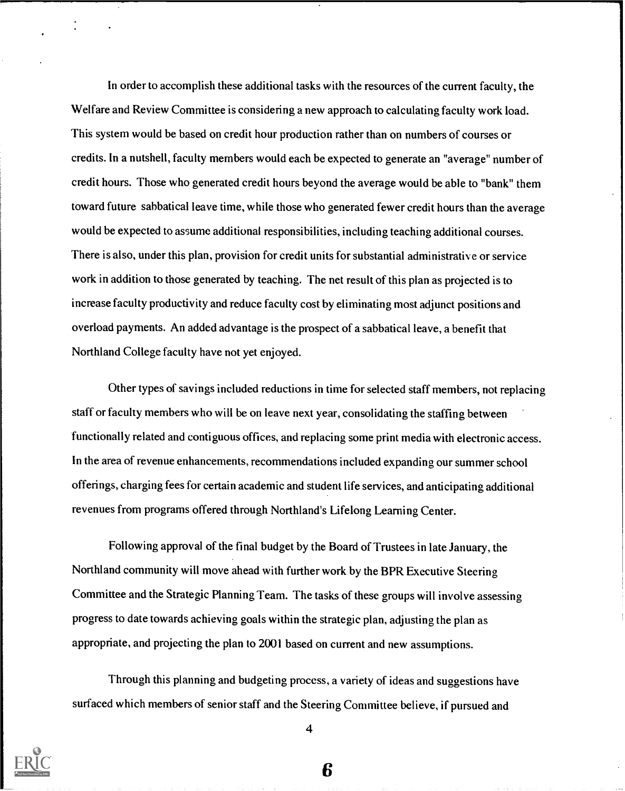In order to accomplish these additional tasks with the resources of the current faculty, the Welfare and Review Committee is considering a new approach to calculating faculty work load. This system would be based on credit hour production rather than on numbers of courses or credits. In a nutshell, faculty members would each be expected to generate an "average" number of credit hours. Those who generated credit hours beyond the average would be able to "bank" them toward future sabbatical leave time, while those who generated fewer credit hours than the average would be expected to assume additional responsibilities, including teaching additional courses. There is also, under this plan, provision for credit units for substantial administrative or service work in addition to those generated by teaching. The net result of this plan as projected is to increase faculty productivity and reduce faculty cost by eliminating most adjunct positions and overload payments. An added advantage is the prospect of a sabbatical leave, a benefit that Northland College faculty have not yet enjoyed.

Other types of savings included reductions in time for selected staff members, not replacing staff or faculty members who will be on leave next year, consolidating the staffing between functionally related and contiguous offices, and replacing some print media with electronic access. In the area of revenue enhancements, recommendations included expanding our summer school offerings, charging fees for certain academic and student life services, and anticipating additional revenues from programs offered through Northland's Lifelong Learning Center.

Following approval of the final budget by the Board of Trustees in late January, the Northland community will move ahead with further work by the BPR Executive Steering Committee and the Strategic Planning Team. The tasks of these groups will involve assessing progress to date towards achieving goals within the strategic plan, adjusting the plan as appropriate, and projecting the plan to 2001 based on current and new assumptions.

Through this planning and budgeting process, a variety of ideas and suggestions have surfaced which members of senior staff and the Steering Committee believe, if pursued and